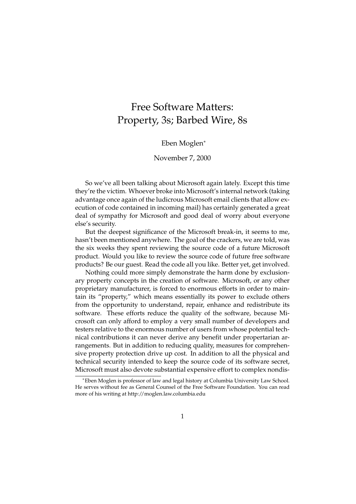## Free Software Matters: Property, 3s; Barbed Wire, 8s

## Eben Moglen<sup>∗</sup>

## November 7, 2000

So we've all been talking about Microsoft again lately. Except this time they're the victim. Whoever broke into Microsoft's internal network (taking advantage once again of the ludicrous Microsoft email clients that allow execution of code contained in incoming mail) has certainly generated a great deal of sympathy for Microsoft and good deal of worry about everyone else's security.

But the deepest significance of the Microsoft break-in, it seems to me, hasn't been mentioned anywhere. The goal of the crackers, we are told, was the six weeks they spent reviewing the source code of a future Microsoft product. Would you like to review the source code of future free software products? Be our guest. Read the code all you like. Better yet, get involved.

Nothing could more simply demonstrate the harm done by exclusionary property concepts in the creation of software. Microsoft, or any other proprietary manufacturer, is forced to enormous efforts in order to maintain its "property," which means essentially its power to exclude others from the opportunity to understand, repair, enhance and redistribute its software. These efforts reduce the quality of the software, because Microsoft can only afford to employ a very small number of developers and testers relative to the enormous number of users from whose potential technical contributions it can never derive any benefit under propertarian arrangements. But in addition to reducing quality, measures for comprehensive property protection drive up cost. In addition to all the physical and technical security intended to keep the source code of its software secret, Microsoft must also devote substantial expensive effort to complex nondis-

<sup>∗</sup>Eben Moglen is professor of law and legal history at Columbia University Law School. He serves without fee as General Counsel of the Free Software Foundation. You can read more of his writing at http://moglen.law.columbia.edu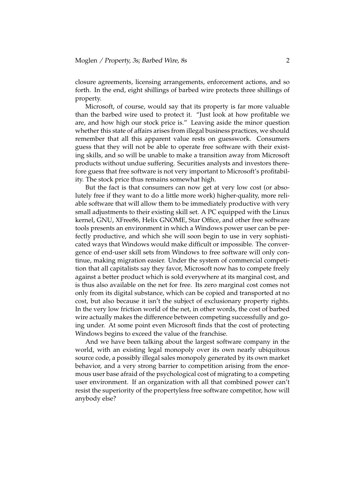closure agreements, licensing arrangements, enforcement actions, and so forth. In the end, eight shillings of barbed wire protects three shillings of property.

Microsoft, of course, would say that its property is far more valuable than the barbed wire used to protect it. "Just look at how profitable we are, and how high our stock price is." Leaving aside the minor question whether this state of affairs arises from illegal business practices, we should remember that all this apparent value rests on guesswork. Consumers guess that they will not be able to operate free software with their existing skills, and so will be unable to make a transition away from Microsoft products without undue suffering. Securities analysts and investors therefore guess that free software is not very important to Microsoft's profitability. The stock price thus remains somewhat high.

But the fact is that consumers can now get at very low cost (or absolutely free if they want to do a little more work) higher-quality, more reliable software that will allow them to be immediately productive with very small adjustments to their existing skill set. A PC equipped with the Linux kernel, GNU, XFree86, Helix GNOME, Star Office, and other free software tools presents an environment in which a Windows power user can be perfectly productive, and which she will soon begin to use in very sophisticated ways that Windows would make difficult or impossible. The convergence of end-user skill sets from Windows to free software will only continue, making migration easier. Under the system of commercial competition that all capitalists say they favor, Microsoft now has to compete freely against a better product which is sold everywhere at its marginal cost, and is thus also available on the net for free. Its zero marginal cost comes not only from its digital substance, which can be copied and transported at no cost, but also because it isn't the subject of exclusionary property rights. In the very low friction world of the net, in other words, the cost of barbed wire actually makes the difference between competing successfully and going under. At some point even Microsoft finds that the cost of protecting Windows begins to exceed the value of the franchise.

And we have been talking about the largest software company in the world, with an existing legal monopoly over its own nearly ubiquitous source code, a possibly illegal sales monopoly generated by its own market behavior, and a very strong barrier to competition arising from the enormous user base afraid of the psychological cost of migrating to a competing user environment. If an organization with all that combined power can't resist the superiority of the propertyless free software competitor, how will anybody else?